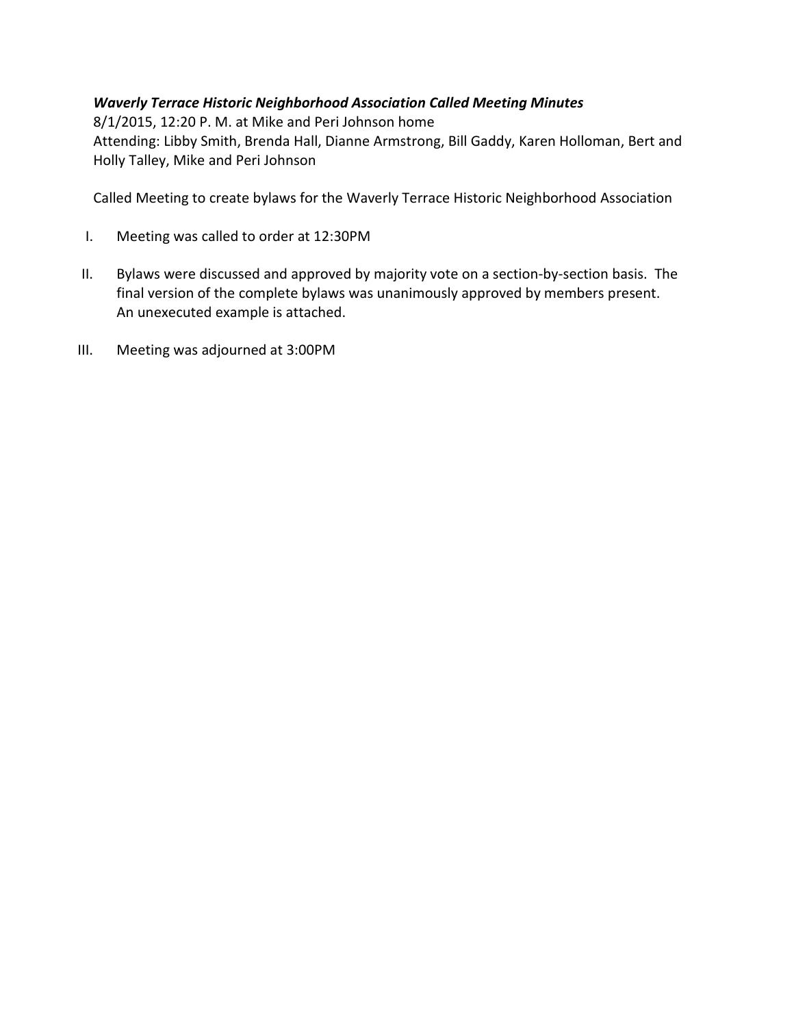### Waverly Terrace Historic Neighborhood Association Called Meeting Minutes

8/1/2015, 12:20 P. M. at Mike and Peri Johnson home Attending: Libby Smith, Brenda Hall, Dianne Armstrong, Bill Gaddy, Karen Holloman, Bert and Holly Talley, Mike and Peri Johnson

Called Meeting to create bylaws for the Waverly Terrace Historic Neighborhood Association

- I. Meeting was called to order at 12:30PM
- II. Bylaws were discussed and approved by majority vote on a section-by-section basis. The final version of the complete bylaws was unanimously approved by members present. An unexecuted example is attached.
- III. Meeting was adjourned at 3:00PM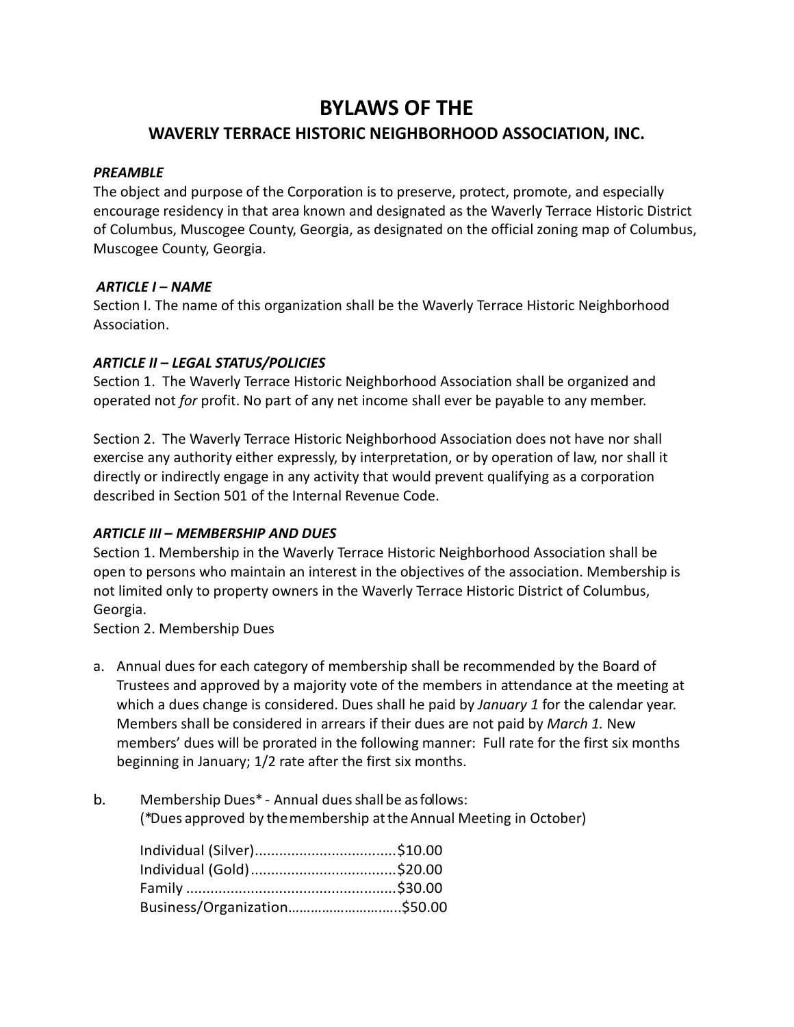# BYLAWS OF THE WAVERLY TERRACE HISTORIC NEIGHBORHOOD ASSOCIATION, INC.

#### PREAMBLE

The object and purpose of the Corporation is to preserve, protect, promote, and especially encourage residency in that area known and designated as the Waverly Terrace Historic District of Columbus, Muscogee County, Georgia, as designated on the official zoning map of Columbus, Muscogee County, Georgia.

#### ARTICLE I – NAME

Section I. The name of this organization shall be the Waverly Terrace Historic Neighborhood Association.

### ARTICLE II – LEGAL STATUS/POLICIES

Section 1. The Waverly Terrace Historic Neighborhood Association shall be organized and operated not for profit. No part of any net income shall ever be payable to any member.

Section 2. The Waverly Terrace Historic Neighborhood Association does not have nor shall exercise any authority either expressly, by interpretation, or by operation of law, nor shall it directly or indirectly engage in any activity that would prevent qualifying as a corporation described in Section 501 of the Internal Revenue Code.

### ARTICLE III – MEMBERSHIP AND DUES

Section 1. Membership in the Waverly Terrace Historic Neighborhood Association shall be open to persons who maintain an interest in the objectives of the association. Membership is not limited only to property owners in the Waverly Terrace Historic District of Columbus, Georgia.

Section 2. Membership Dues

- a. Annual dues for each category of membership shall be recommended by the Board of Trustees and approved by a majority vote of the members in attendance at the meeting at which a dues change is considered. Dues shall he paid by January 1 for the calendar year. Members shall be considered in arrears if their dues are not paid by March 1. New members' dues will be prorated in the following manner: Full rate for the first six months beginning in January; 1/2 rate after the first six months.
- b. Membership Dues\* Annual dues shall be as follows:

(\*Dues approved by the membership at the Annual Meeting in October)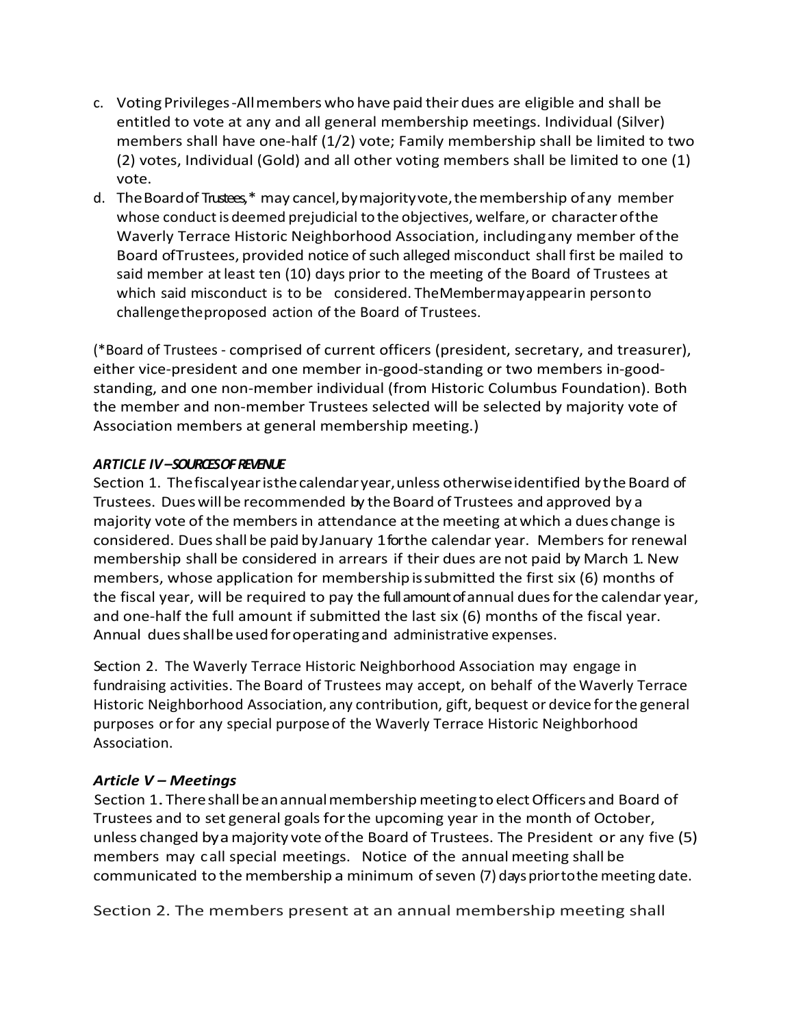- c. Voting Privileges-All members who have paid their dues are eligible and shall be entitled to vote at any and all general membership meetings. Individual (Silver) members shall have one-half (1/2) vote; Family membership shall be limited to two (2) votes, Individual (Gold) and all other voting members shall be limited to one (1) vote.
- d. The Board of Trustees,\* may cancel, by majority vote, the membership of any member whose conduct is deemed prejudicial to the objectives, welfare, or character of the Waverly Terrace Historic Neighborhood Association, including any member of the Board of Trustees, provided notice of such alleged misconduct shall first be mailed to said member at least ten (10) days prior to the meeting of the Board of Trustees at which said misconduct is to be considered. The Member may appear in person to challenge the proposed action of the Board of Trustees.

(\*Board of Trustees - comprised of current officers (president, secretary, and treasurer), either vice-president and one member in-good-standing or two members in-goodstanding, and one non-member individual (from Historic Columbus Foundation). Both the member and non-member Trustees selected will be selected by majority vote of Association members at general membership meeting.)

## ARTICLE IV-SOURCES OF REVENUE

Section 1. The fiscal year is the calendar year, unless otherwise identified by the Board of Trustees. Dues will be recommended by the Board of Trustees and approved by a majority vote of the members in attendance at the meeting at which a dues change is considered. Dues shall be paid by January 1 for the calendar year. Members for renewal membership shall be considered in arrears if their dues are not paid by March 1. New members, whose application for membership is submitted the first six (6) months of the fiscal year, will be required to pay the full amount of annual dues for the calendar year, and one-half the full amount if submitted the last six (6) months of the fiscal year. Annual dues shall be used for operating and administrative expenses.

Section 2. The Waverly Terrace Historic Neighborhood Association may engage in fundraising activities. The Board of Trustees may accept, on behalf of the Waverly Terrace Historic Neighborhood Association, any contribution, gift, bequest or device for the general purposes or for any special purpose of the Waverly Terrace Historic Neighborhood Association.

### Article V – Meetings

Section 1. There shall be an annual membership meeting to elect Officers and Board of Trustees and to set general goals for the upcoming year in the month of October, unless changed by a majority vote of the Board of Trustees. The President or any five (5) members may call special meetings. Notice of the annual meeting shall be communicated to the membership a minimum of seven (7) days prior to the meeting date.

Section 2. The members present at an annual membership meeting shall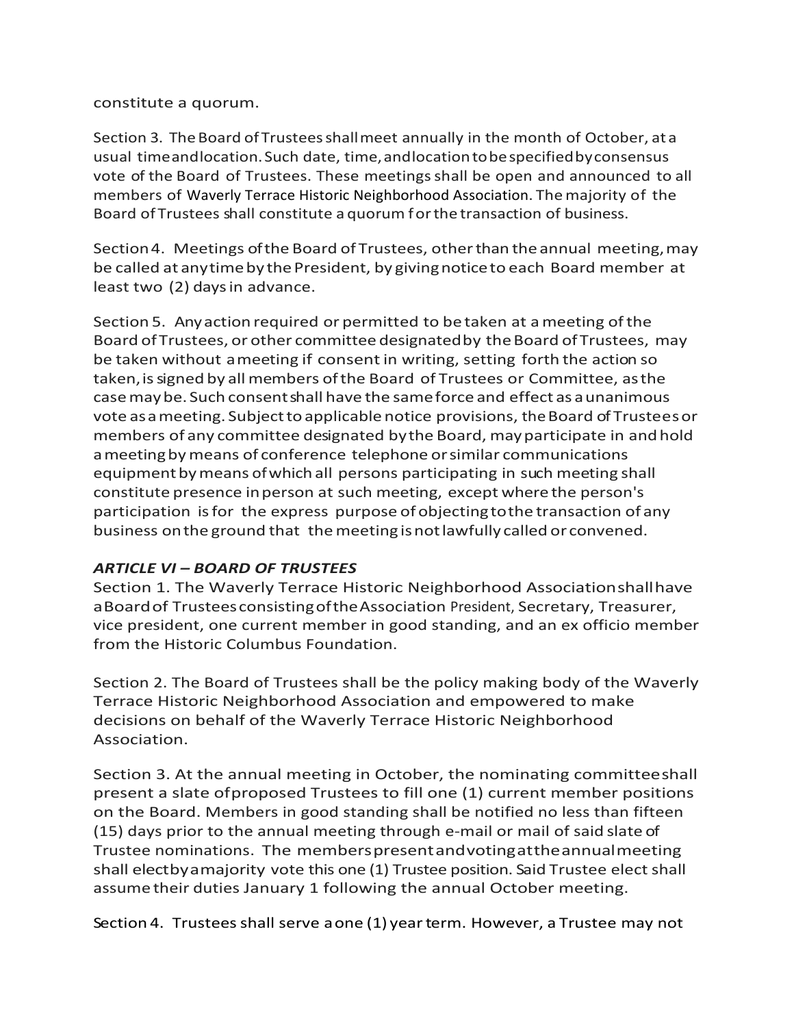#### constitute a quorum.

Section 3. The Board of Trustees shall meet annually in the month of October, at a usual time and location. Such date, time, and location to be specified by consensus vote of the Board of Trustees. These meetings shall be open and announced to all members of Waverly Terrace Historic Neighborhood Association. The majority of the Board of Trustees shall constitute a quorum for the transaction of business.

Section 4. Meetings of the Board of Trustees, other than the annual meeting, may be called at any time by the President, by giving notice to each Board member at least two (2) days in advance.

Section 5. Any action required or permitted to be taken at a meeting of the Board of Trustees, or other committee designated by the Board of Trustees, may be taken without a meeting if consent in writing, setting forth the action so taken, is signed by all members of the Board of Trustees or Committee, as the case may be. Such consent shall have the same force and effect as a unanimous vote as a meeting. Subject to applicable notice provisions, the Board of Trustees or members of any committee designated by the Board, may participate in and hold a meeting by means of conference telephone or similar communications equipment by means of which all persons participating in such meeting shall constitute presence in person at such meeting, except where the person's participation is for the express purpose of objecting to the transaction of any business on the ground that the meeting is not lawfully called or convened.

### ARTICLE VI – BOARD OF TRUSTEES

Section 1. The Waverly Terrace Historic Neighborhood Association shall have a Board of Trustees consisting of the Association President, Secretary, Treasurer, vice president, one current member in good standing, and an ex officio member from the Historic Columbus Foundation.

Section 2. The Board of Trustees shall be the policy making body of the Waverly Terrace Historic Neighborhood Association and empowered to make decisions on behalf of the Waverly Terrace Historic Neighborhood Association.

Section 3. At the annual meeting in October, the nominating committee shall present a slate of proposed Trustees to fill one (1) current member positions on the Board. Members in good standing shall be notified no less than fifteen (15) days prior to the annual meeting through e-mail or mail of said slate of Trustee nominations. The members present and voting at the annual meeting shall electby a majority vote this one (1) Trustee position. Said Trustee elect shall assume their duties January 1 following the annual October meeting.

Section 4. Trustees shall serve a one (1) year term. However, a Trustee may not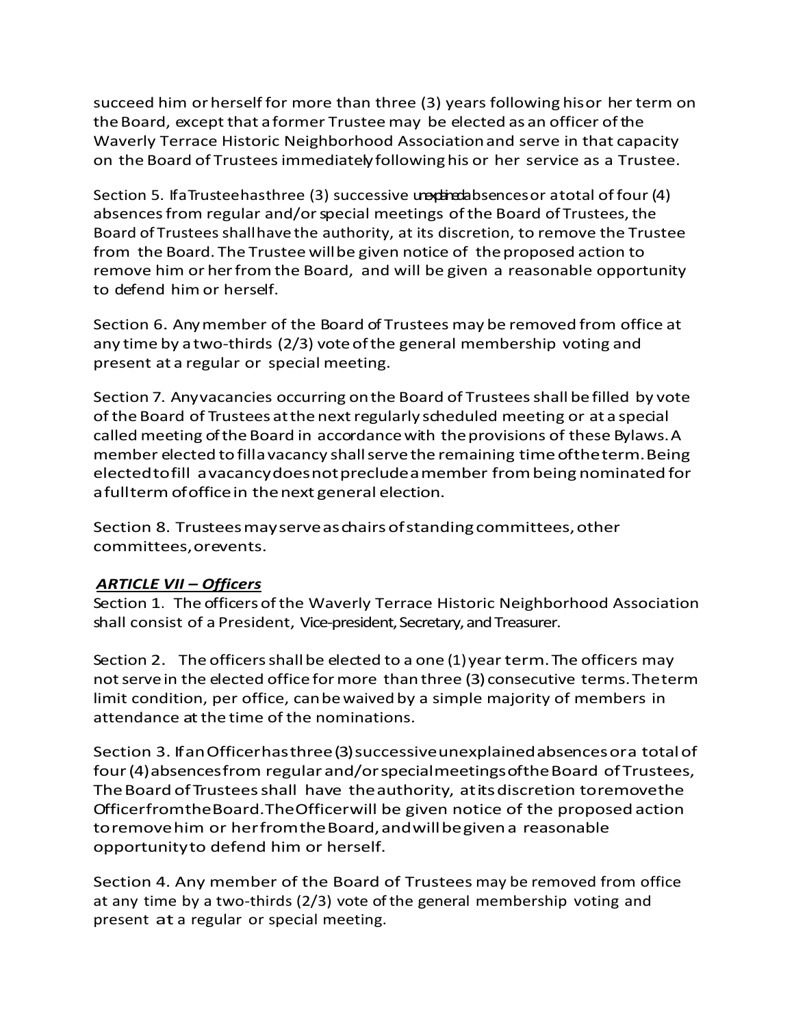succeed him or herself for more than three (3) years following his or her term on the Board, except that a former Trustee may be elected as an officer of the Waverly Terrace Historic Neighborhood Association and serve in that capacity on the Board of Trustees immediately following his or her service as a Trustee.

Section 5. If a Trustee has three (3) successive unexplaced bences or a total of four (4) absences from regular and/or special meetings of the Board of Trustees, the Board of Trustees shall have the authority, at its discretion, to remove the Trustee from the Board. The Trustee will be given notice of the proposed action to remove him or her from the Board, and will be given a reasonable opportunity to defend him or herself.

Section 6. Any member of the Board of Trustees may be removed from office at any time by a two-thirds (2/3) vote of the general membership voting and present at a regular or special meeting.

Section 7. Any vacancies occurring on the Board of Trustees shall be filled by vote of the Board of Trustees at the next regularly scheduled meeting or at a special called meeting of the Board in accordance with the provisions of these Bylaws. A member elected to fill a vacancy shall serve the remaining time of the term. Being elected to fill a vacancy does not preclude a member from being nominated for a full term of office in the next general election.

Section 8. Trustees may serve as chairs of standing committees, other committees, or events.

# ARTICLE VII – Officers

Section 1. The officers of the Waverly Terrace Historic Neighborhood Association shall consist of a President, Vice-president, Secretary, and Treasurer.

Section 2. The officers shall be elected to a one (1) year term. The officers may not serve in the elected office for more than three (3) consecutive terms. The term limit condition, per office, can be waived by a simple majority of members in attendance at the time of the nominations.

Section 3. If an Officer has three (3) successive unexplained absences or a total of four (4) absences from regular and/or special meetings of the Board of Trustees, The Board of Trustees shall have the authority, at its discretion to remove the Officer from the Board. The Officer will be given notice of the proposed action to remove him or her from the Board, and will be given a reasonable opportunity to defend him or herself.

Section 4. Any member of the Board of Trustees may be removed from office at any time by a two-thirds (2/3) vote of the general membership voting and present at a regular or special meeting.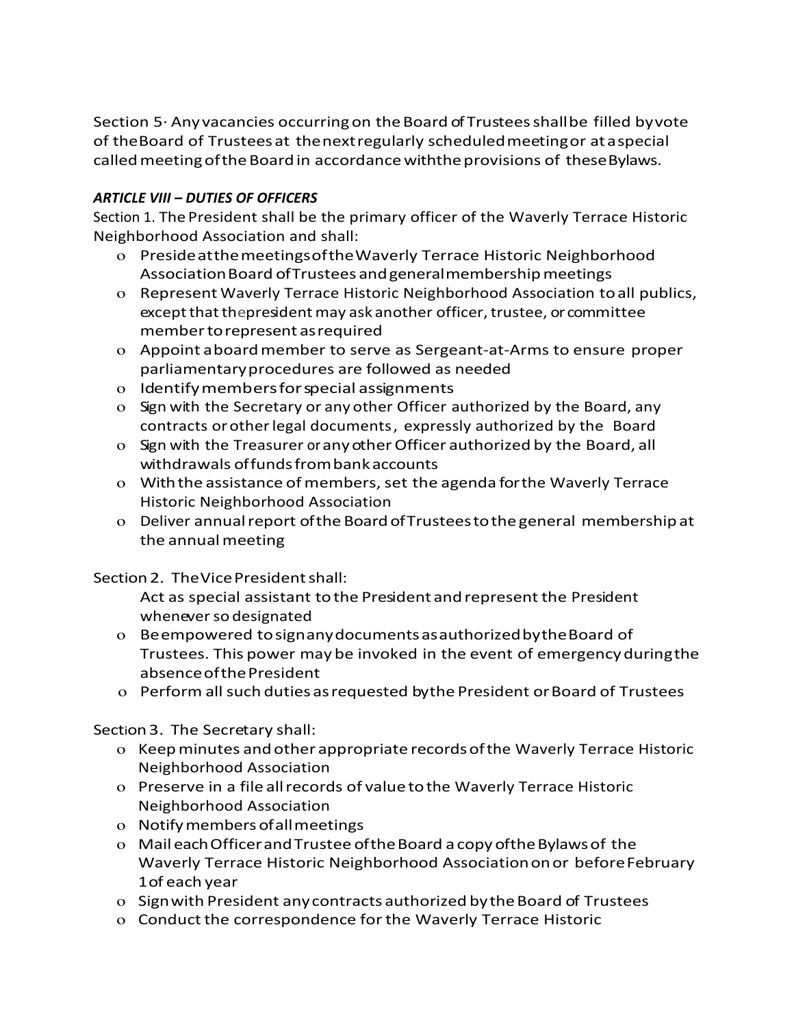Section 5· Any vacancies occurring on the Board of Trustees shall be filled by vote of the Board of Trustees at the next regularly scheduled meeting or at a special called meeting of the Board in accordance with the provisions of these Bylaws.

## ARTICLE VIII – DUTIES OF OFFICERS

Section 1. The President shall be the primary officer of the Waverly Terrace Historic Neighborhood Association and shall:

- o Preside at the meetings of the Waverly Terrace Historic Neighborhood Association Board of Trustees and general membership meetings
- o Represent Waverly Terrace Historic Neighborhood Association to all publics, except that the president may ask another officer, trustee, or committee member to represent as required
- o Appoint a board member to serve as Sergeant-at-Arms to ensure proper parliamentary procedures are followed as needed
- o Identify members for special assignments
- o Sign with the Secretary or any other Officer authorized by the Board, any contracts or other legal documents, expressly authorized by the Board
- o Sign with the Treasurer or any other Officer authorized by the Board, all withdrawals of funds from bank accounts
- o With the assistance of members, set the agenda for the Waverly Terrace Historic Neighborhood Association
- o Deliver annual report of the Board of Trustees to the general membership at the annual meeting

Section 2. The Vice President shall:

Act as special assistant to the President and represent the President whenever so designated

- o Be empowered to sign any documents as authorized by the Board of Trustees. This power may be invoked in the event of emergency during the absence of the President
- o Perform all such duties as requested by the President or Board of Trustees

Section 3. The Secretary shall:

- o Keep minutes and other appropriate records of the Waverly Terrace Historic Neighborhood Association
- o Preserve in a file all records of value to the Waverly Terrace Historic Neighborhood Association
- o Notify members of all meetings
- o Mail each Officer and Trustee of the Board a copy of the Bylaws of the Waverly Terrace Historic Neighborhood Association on or before February 1of each year
- o Sign with President any contracts authorized by the Board of Trustees
- o Conduct the correspondence for the Waverly Terrace Historic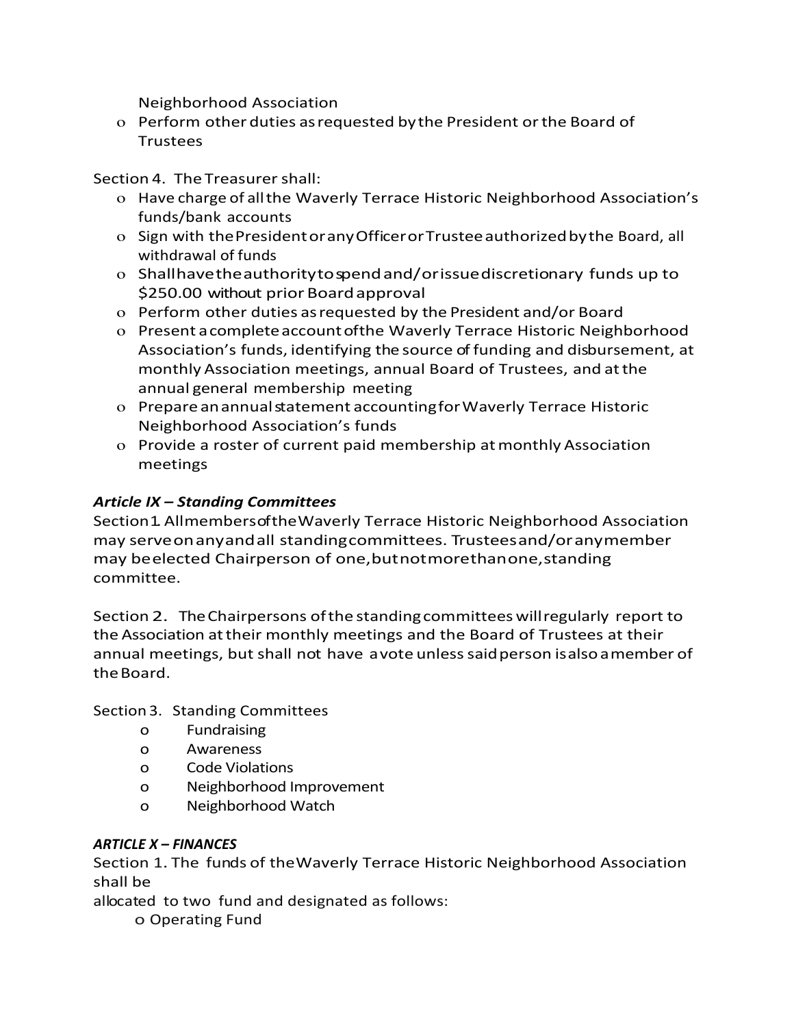Neighborhood Association

o Perform other duties as requested by the President or the Board of **Trustees** 

Section 4. The Treasurer shall:

- o Have charge of all the Waverly Terrace Historic Neighborhood Association's funds/bank accounts
- o Sign with the President or any Officer or Trustee authorized by the Board, all withdrawal of funds
- o Shall have the authority to spend and/or issue discretionary funds up to \$250.00 without prior Board approval
- o Perform other duties as requested by the President and/or Board
- o Present a complete account of the Waverly Terrace Historic Neighborhood Association's funds, identifying the source of funding and disbursement, at monthly Association meetings, annual Board of Trustees, and at the annual general membership meeting
- o Prepare an annual statement accounting for Waverly Terrace Historic Neighborhood Association's funds
- o Provide a roster of current paid membership at monthly Association meetings

# Article IX – Standing Committees

Section 1. All members of the Waverly Terrace Historic Neighborhood Association may serve on any and all standing committees. Trustees and/or any member may be elected Chairperson of one, but not more than one, standing committee.

Section 2. The Chairpersons of the standing committees will regularly report to the Association at their monthly meetings and the Board of Trustees at their annual meetings, but shall not have a vote unless said person is also a member of the Board.

Section 3. Standing Committees

- o Fundraising
- o Awareness
- o Code Violations
- o Neighborhood Improvement
- o Neighborhood Watch

# ARTICLE X – FINANCES

Section 1. The funds of the Waverly Terrace Historic Neighborhood Association shall be

allocated to two fund and designated as follows:

o Operating Fund